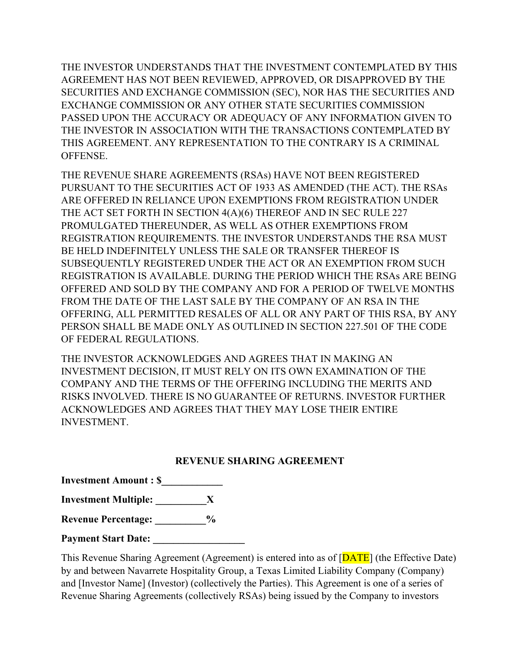THE INVESTOR UNDERSTANDS THAT THE INVESTMENT CONTEMPLATED BY THIS AGREEMENT HAS NOT BEEN REVIEWED, APPROVED, OR DISAPPROVED BY THE SECURITIES AND EXCHANGE COMMISSION (SEC), NOR HAS THE SECURITIES AND EXCHANGE COMMISSION OR ANY OTHER STATE SECURITIES COMMISSION PASSED UPON THE ACCURACY OR ADEQUACY OF ANY INFORMATION GIVEN TO THE INVESTOR IN ASSOCIATION WITH THE TRANSACTIONS CONTEMPLATED BY THIS AGREEMENT. ANY REPRESENTATION TO THE CONTRARY IS A CRIMINAL **OFFENSE** 

THE REVENUE SHARE AGREEMENTS (RSAs) HAVE NOT BEEN REGISTERED PURSUANT TO THE SECURITIES ACT OF 1933 AS AMENDED (THE ACT). THE RSAs ARE OFFERED IN RELIANCE UPON EXEMPTIONS FROM REGISTRATION UNDER THE ACT SET FORTH IN SECTION 4(A)(6) THEREOF AND IN SEC RULE 227 PROMULGATED THEREUNDER, AS WELL AS OTHER EXEMPTIONS FROM REGISTRATION REQUIREMENTS. THE INVESTOR UNDERSTANDS THE RSA MUST BE HELD INDEFINITELY UNLESS THE SALE OR TRANSFER THEREOF IS SUBSEQUENTLY REGISTERED UNDER THE ACT OR AN EXEMPTION FROM SUCH REGISTRATION IS AVAILABLE. DURING THE PERIOD WHICH THE RSAs ARE BEING OFFERED AND SOLD BY THE COMPANY AND FOR A PERIOD OF TWELVE MONTHS FROM THE DATE OF THE LAST SALE BY THE COMPANY OF AN RSA IN THE OFFERING, ALL PERMITTED RESALES OF ALL OR ANY PART OF THIS RSA, BY ANY PERSON SHALL BE MADE ONLY AS OUTLINED IN SECTION 227.501 OF THE CODE OF FEDERAL REGULATIONS.

THE INVESTOR ACKNOWLEDGES AND AGREES THAT IN MAKING AN INVESTMENT DECISION, IT MUST RELY ON ITS OWN EXAMINATION OF THE COMPANY AND THE TERMS OF THE OFFERING INCLUDING THE MERITS AND RISKS INVOLVED. THERE IS NO GUARANTEE OF RETURNS. INVESTOR FURTHER ACKNOWLEDGES AND AGREES THAT THEY MAY LOSE THEIR ENTIRE INVESTMENT.

## **REVENUE SHARING AGREEMENT**

**Investment Amount : \$\_\_\_\_\_\_\_\_\_\_\_\_**

**Investment Multiple: \_\_\_\_\_\_\_\_\_\_X**

**Revenue Percentage: \_\_\_\_\_\_\_\_\_\_%**

**Payment Start Date:** 

This Revenue Sharing Agreement (Agreement) is entered into as of [DATE] (the Effective Date) by and between Navarrete Hospitality Group, a Texas Limited Liability Company (Company) and [Investor Name] (Investor) (collectively the Parties). This Agreement is one of a series of Revenue Sharing Agreements (collectively RSAs) being issued by the Company to investors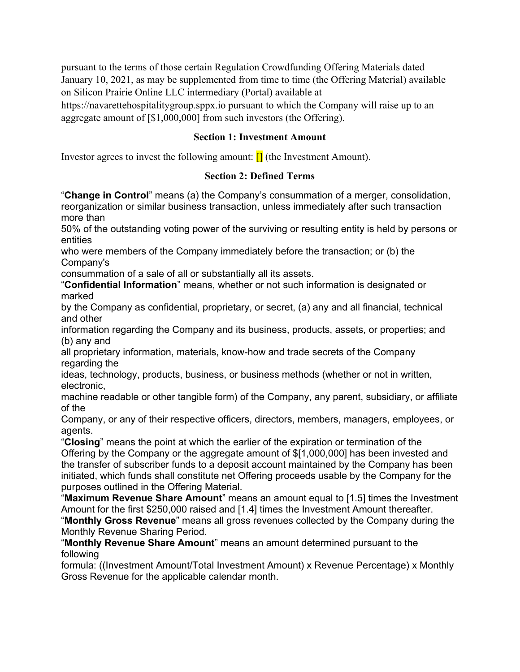pursuant to the terms of those certain Regulation Crowdfunding Offering Materials dated January 10, 2021, as may be supplemented from time to time (the Offering Material) available on Silicon Prairie Online LLC intermediary (Portal) available at

https://navarettehospitalitygroup.sppx.io pursuant to which the Company will raise up to an aggregate amount of [\$1,000,000] from such investors (the Offering).

## **Section 1: Investment Amount**

Investor agrees to invest the following amount:  $\prod$  (the Investment Amount).

## **Section 2: Defined Terms**

"**Change in Control**" means (a) the Company's consummation of a merger, consolidation, reorganization or similar business transaction, unless immediately after such transaction more than

50% of the outstanding voting power of the surviving or resulting entity is held by persons or entities

who were members of the Company immediately before the transaction; or (b) the Company's

consummation of a sale of all or substantially all its assets.

"**Confidential Information**" means, whether or not such information is designated or marked

by the Company as confidential, proprietary, or secret, (a) any and all financial, technical and other

information regarding the Company and its business, products, assets, or properties; and (b) any and

all proprietary information, materials, know-how and trade secrets of the Company regarding the

ideas, technology, products, business, or business methods (whether or not in written, electronic,

machine readable or other tangible form) of the Company, any parent, subsidiary, or affiliate of the

Company, or any of their respective officers, directors, members, managers, employees, or agents.

"**Closing**" means the point at which the earlier of the expiration or termination of the Offering by the Company or the aggregate amount of \$[1,000,000] has been invested and the transfer of subscriber funds to a deposit account maintained by the Company has been initiated, which funds shall constitute net Offering proceeds usable by the Company for the purposes outlined in the Offering Material.

"**Maximum Revenue Share Amount**" means an amount equal to [1.5] times the Investment Amount for the first \$250,000 raised and [1.4] times the Investment Amount thereafter.

"**Monthly Gross Revenue**" means all gross revenues collected by the Company during the Monthly Revenue Sharing Period.

"**Monthly Revenue Share Amount**" means an amount determined pursuant to the following

formula: ((Investment Amount/Total Investment Amount) x Revenue Percentage) x Monthly Gross Revenue for the applicable calendar month.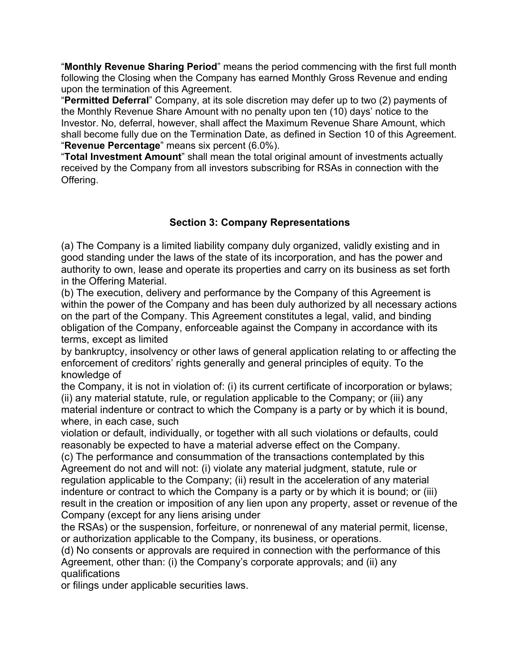"**Monthly Revenue Sharing Period**" means the period commencing with the first full month following the Closing when the Company has earned Monthly Gross Revenue and ending upon the termination of this Agreement.

"**Permitted Deferral**" Company, at its sole discretion may defer up to two (2) payments of the Monthly Revenue Share Amount with no penalty upon ten (10) days' notice to the Investor. No, deferral, however, shall affect the Maximum Revenue Share Amount, which shall become fully due on the Termination Date, as defined in Section 10 of this Agreement. "**Revenue Percentage**" means six percent (6.0%).

"**Total Investment Amount**" shall mean the total original amount of investments actually received by the Company from all investors subscribing for RSAs in connection with the Offering.

# **Section 3: Company Representations**

(a) The Company is a limited liability company duly organized, validly existing and in good standing under the laws of the state of its incorporation, and has the power and authority to own, lease and operate its properties and carry on its business as set forth in the Offering Material.

(b) The execution, delivery and performance by the Company of this Agreement is within the power of the Company and has been duly authorized by all necessary actions on the part of the Company. This Agreement constitutes a legal, valid, and binding obligation of the Company, enforceable against the Company in accordance with its terms, except as limited

by bankruptcy, insolvency or other laws of general application relating to or affecting the enforcement of creditors' rights generally and general principles of equity. To the knowledge of

the Company, it is not in violation of: (i) its current certificate of incorporation or bylaws; (ii) any material statute, rule, or regulation applicable to the Company; or (iii) any material indenture or contract to which the Company is a party or by which it is bound, where, in each case, such

violation or default, individually, or together with all such violations or defaults, could reasonably be expected to have a material adverse effect on the Company.

(c) The performance and consummation of the transactions contemplated by this Agreement do not and will not: (i) violate any material judgment, statute, rule or regulation applicable to the Company; (ii) result in the acceleration of any material indenture or contract to which the Company is a party or by which it is bound; or (iii) result in the creation or imposition of any lien upon any property, asset or revenue of the Company (except for any liens arising under

the RSAs) or the suspension, forfeiture, or nonrenewal of any material permit, license, or authorization applicable to the Company, its business, or operations.

(d) No consents or approvals are required in connection with the performance of this Agreement, other than: (i) the Company's corporate approvals; and (ii) any qualifications

or filings under applicable securities laws.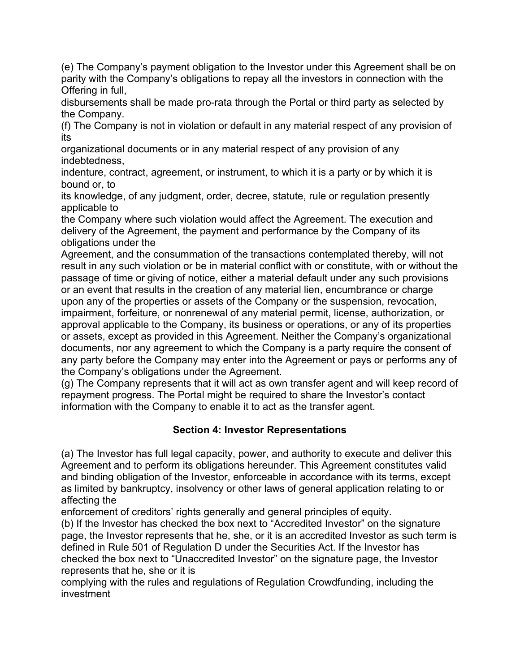(e) The Company's payment obligation to the Investor under this Agreement shall be on parity with the Company's obligations to repay all the investors in connection with the Offering in full,

disbursements shall be made pro-rata through the Portal or third party as selected by the Company.

(f) The Company is not in violation or default in any material respect of any provision of its

organizational documents or in any material respect of any provision of any indebtedness,

indenture, contract, agreement, or instrument, to which it is a party or by which it is bound or, to

its knowledge, of any judgment, order, decree, statute, rule or regulation presently applicable to

the Company where such violation would affect the Agreement. The execution and delivery of the Agreement, the payment and performance by the Company of its obligations under the

Agreement, and the consummation of the transactions contemplated thereby, will not result in any such violation or be in material conflict with or constitute, with or without the passage of time or giving of notice, either a material default under any such provisions or an event that results in the creation of any material lien, encumbrance or charge upon any of the properties or assets of the Company or the suspension, revocation, impairment, forfeiture, or nonrenewal of any material permit, license, authorization, or approval applicable to the Company, its business or operations, or any of its properties or assets, except as provided in this Agreement. Neither the Company's organizational documents, nor any agreement to which the Company is a party require the consent of any party before the Company may enter into the Agreement or pays or performs any of the Company's obligations under the Agreement.

(g) The Company represents that it will act as own transfer agent and will keep record of repayment progress. The Portal might be required to share the Investor's contact information with the Company to enable it to act as the transfer agent.

# **Section 4: Investor Representations**

(a) The Investor has full legal capacity, power, and authority to execute and deliver this Agreement and to perform its obligations hereunder. This Agreement constitutes valid and binding obligation of the Investor, enforceable in accordance with its terms, except as limited by bankruptcy, insolvency or other laws of general application relating to or affecting the

enforcement of creditors' rights generally and general principles of equity.

(b) If the Investor has checked the box next to "Accredited Investor" on the signature page, the Investor represents that he, she, or it is an accredited Investor as such term is defined in Rule 501 of Regulation D under the Securities Act. If the Investor has checked the box next to "Unaccredited Investor" on the signature page, the Investor represents that he, she or it is

complying with the rules and regulations of Regulation Crowdfunding, including the investment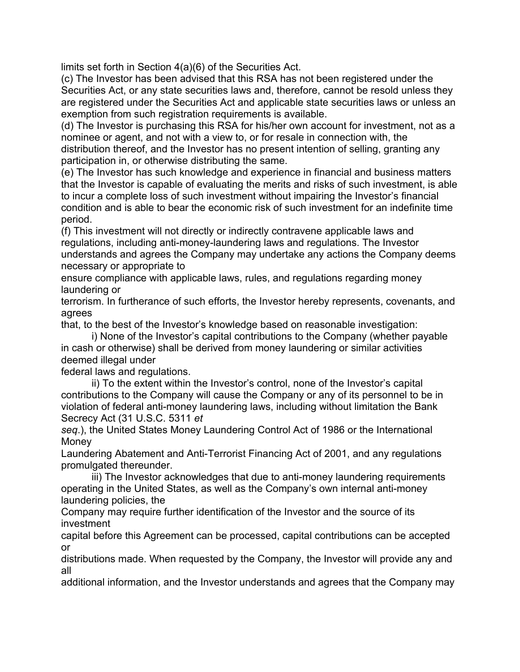limits set forth in Section 4(a)(6) of the Securities Act.

(c) The Investor has been advised that this RSA has not been registered under the Securities Act, or any state securities laws and, therefore, cannot be resold unless they are registered under the Securities Act and applicable state securities laws or unless an exemption from such registration requirements is available.

(d) The Investor is purchasing this RSA for his/her own account for investment, not as a nominee or agent, and not with a view to, or for resale in connection with, the distribution thereof, and the Investor has no present intention of selling, granting any participation in, or otherwise distributing the same.

(e) The Investor has such knowledge and experience in financial and business matters that the Investor is capable of evaluating the merits and risks of such investment, is able to incur a complete loss of such investment without impairing the Investor's financial condition and is able to bear the economic risk of such investment for an indefinite time period.

(f) This investment will not directly or indirectly contravene applicable laws and regulations, including anti-money-laundering laws and regulations. The Investor understands and agrees the Company may undertake any actions the Company deems necessary or appropriate to

ensure compliance with applicable laws, rules, and regulations regarding money laundering or

terrorism. In furtherance of such efforts, the Investor hereby represents, covenants, and agrees

that, to the best of the Investor's knowledge based on reasonable investigation:

i) None of the Investor's capital contributions to the Company (whether payable in cash or otherwise) shall be derived from money laundering or similar activities deemed illegal under

federal laws and regulations.

ii) To the extent within the Investor's control, none of the Investor's capital contributions to the Company will cause the Company or any of its personnel to be in violation of federal anti-money laundering laws, including without limitation the Bank Secrecy Act (31 U.S.C. 5311 *et*

*seq*.), the United States Money Laundering Control Act of 1986 or the International Money

Laundering Abatement and Anti-Terrorist Financing Act of 2001, and any regulations promulgated thereunder.

iii) The Investor acknowledges that due to anti-money laundering requirements operating in the United States, as well as the Company's own internal anti-money laundering policies, the

Company may require further identification of the Investor and the source of its investment

capital before this Agreement can be processed, capital contributions can be accepted or

distributions made. When requested by the Company, the Investor will provide any and all

additional information, and the Investor understands and agrees that the Company may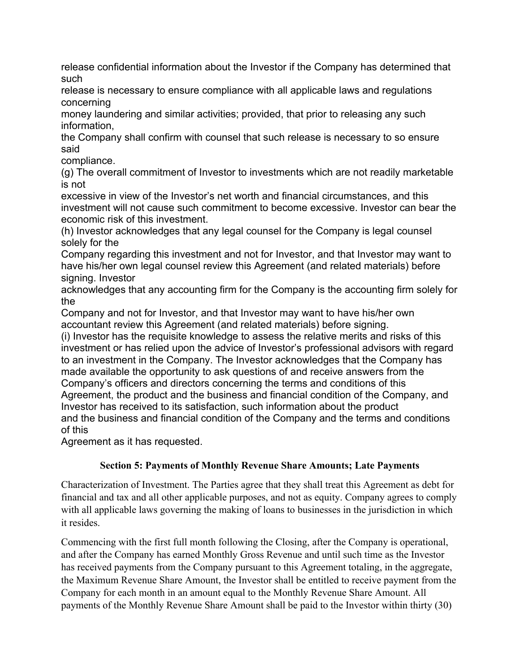release confidential information about the Investor if the Company has determined that such

release is necessary to ensure compliance with all applicable laws and regulations concerning

money laundering and similar activities; provided, that prior to releasing any such information,

the Company shall confirm with counsel that such release is necessary to so ensure said

compliance.

(g) The overall commitment of Investor to investments which are not readily marketable is not

excessive in view of the Investor's net worth and financial circumstances, and this investment will not cause such commitment to become excessive. Investor can bear the economic risk of this investment.

(h) Investor acknowledges that any legal counsel for the Company is legal counsel solely for the

Company regarding this investment and not for Investor, and that Investor may want to have his/her own legal counsel review this Agreement (and related materials) before signing. Investor

acknowledges that any accounting firm for the Company is the accounting firm solely for the

Company and not for Investor, and that Investor may want to have his/her own accountant review this Agreement (and related materials) before signing.

(i) Investor has the requisite knowledge to assess the relative merits and risks of this investment or has relied upon the advice of Investor's professional advisors with regard to an investment in the Company. The Investor acknowledges that the Company has made available the opportunity to ask questions of and receive answers from the Company's officers and directors concerning the terms and conditions of this Agreement, the product and the business and financial condition of the Company, and Investor has received to its satisfaction, such information about the product and the business and financial condition of the Company and the terms and conditions of this

Agreement as it has requested.

# **Section 5: Payments of Monthly Revenue Share Amounts; Late Payments**

Characterization of Investment. The Parties agree that they shall treat this Agreement as debt for financial and tax and all other applicable purposes, and not as equity. Company agrees to comply with all applicable laws governing the making of loans to businesses in the jurisdiction in which it resides.

Commencing with the first full month following the Closing, after the Company is operational, and after the Company has earned Monthly Gross Revenue and until such time as the Investor has received payments from the Company pursuant to this Agreement totaling, in the aggregate, the Maximum Revenue Share Amount, the Investor shall be entitled to receive payment from the Company for each month in an amount equal to the Monthly Revenue Share Amount. All payments of the Monthly Revenue Share Amount shall be paid to the Investor within thirty (30)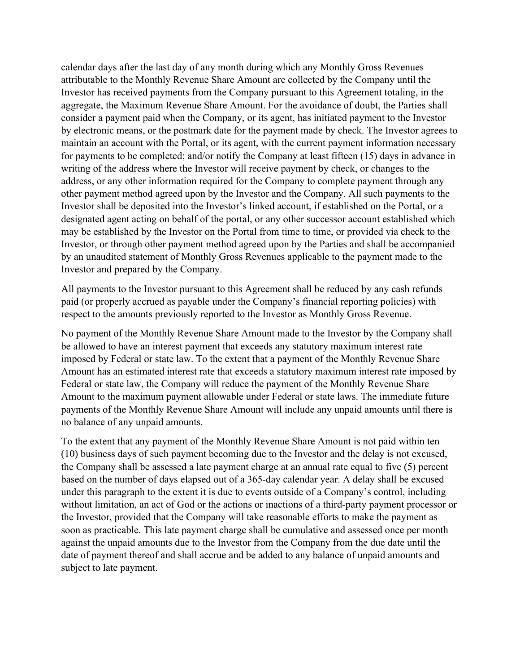calendar days after the last day of any month during which any Monthly Gross Revenues attributable to the Monthly Revenue Share Amount are collected by the Company until the Investor has received payments from the Company pursuant to this Agreement totaling, in the aggregate, the Maximum Revenue Share Amount. For the avoidance of doubt, the Parties shall consider a payment paid when the Company, or its agent, has initiated payment to the Investor by electronic means, or the postmark date for the payment made by check. The Investor agrees to maintain an account with the Portal, or its agent, with the current payment information necessary for payments to be completed; and/or notify the Company at least fifteen (15) days in advance in writing of the address where the Investor will receive payment by check, or changes to the address, or any other information required for the Company to complete payment through any other payment method agreed upon by the Investor and the Company. All such payments to the Investor shall be deposited into the Investor's linked account, if established on the Portal, or a designated agent acting on behalf of the portal, or any other successor account established which may be established by the Investor on the Portal from time to time, or provided via check to the Investor, or through other payment method agreed upon by the Parties and shall be accompanied by an unaudited statement of Monthly Gross Revenues applicable to the payment made to the Investor and prepared by the Company.

All payments to the Investor pursuant to this Agreement shall be reduced by any cash refunds paid (or properly accrued as payable under the Company's financial reporting policies) with respect to the amounts previously reported to the Investor as Monthly Gross Revenue.

No payment of the Monthly Revenue Share Amount made to the Investor by the Company shall be allowed to have an interest payment that exceeds any statutory maximum interest rate imposed by Federal or state law. To the extent that a payment of the Monthly Revenue Share Amount has an estimated interest rate that exceeds a statutory maximum interest rate imposed by Federal or state law, the Company will reduce the payment of the Monthly Revenue Share Amount to the maximum payment allowable under Federal or state laws. The immediate future payments of the Monthly Revenue Share Amount will include any unpaid amounts until there is no balance of any unpaid amounts.

To the extent that any payment of the Monthly Revenue Share Amount is not paid within ten (10) business days of such payment becoming due to the Investor and the delay is not excused, the Company shall be assessed a late payment charge at an annual rate equal to five (5) percent based on the number of days elapsed out of a 365-day calendar year. A delay shall be excused under this paragraph to the extent it is due to events outside of a Company's control, including without limitation, an act of God or the actions or inactions of a third-party payment processor or the Investor, provided that the Company will take reasonable efforts to make the payment as soon as practicable. This late payment charge shall be cumulative and assessed once per month against the unpaid amounts due to the Investor from the Company from the due date until the date of payment thereof and shall accrue and be added to any balance of unpaid amounts and subject to late payment.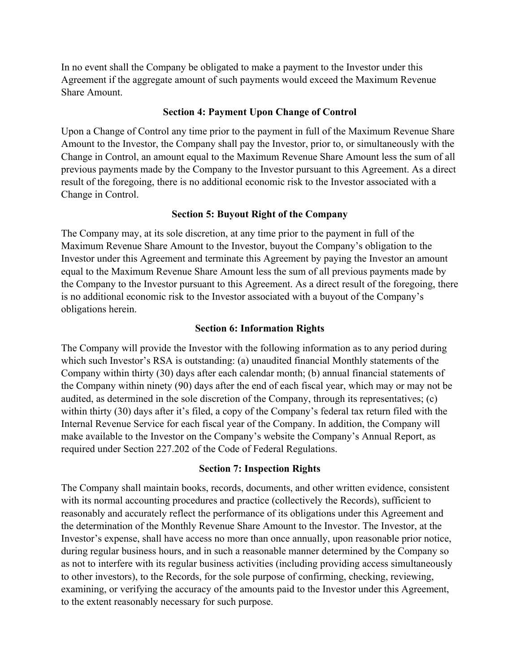In no event shall the Company be obligated to make a payment to the Investor under this Agreement if the aggregate amount of such payments would exceed the Maximum Revenue Share Amount.

#### **Section 4: Payment Upon Change of Control**

Upon a Change of Control any time prior to the payment in full of the Maximum Revenue Share Amount to the Investor, the Company shall pay the Investor, prior to, or simultaneously with the Change in Control, an amount equal to the Maximum Revenue Share Amount less the sum of all previous payments made by the Company to the Investor pursuant to this Agreement. As a direct result of the foregoing, there is no additional economic risk to the Investor associated with a Change in Control.

## **Section 5: Buyout Right of the Company**

The Company may, at its sole discretion, at any time prior to the payment in full of the Maximum Revenue Share Amount to the Investor, buyout the Company's obligation to the Investor under this Agreement and terminate this Agreement by paying the Investor an amount equal to the Maximum Revenue Share Amount less the sum of all previous payments made by the Company to the Investor pursuant to this Agreement. As a direct result of the foregoing, there is no additional economic risk to the Investor associated with a buyout of the Company's obligations herein.

## **Section 6: Information Rights**

The Company will provide the Investor with the following information as to any period during which such Investor's RSA is outstanding: (a) unaudited financial Monthly statements of the Company within thirty (30) days after each calendar month; (b) annual financial statements of the Company within ninety (90) days after the end of each fiscal year, which may or may not be audited, as determined in the sole discretion of the Company, through its representatives; (c) within thirty (30) days after it's filed, a copy of the Company's federal tax return filed with the Internal Revenue Service for each fiscal year of the Company. In addition, the Company will make available to the Investor on the Company's website the Company's Annual Report, as required under Section 227.202 of the Code of Federal Regulations.

#### **Section 7: Inspection Rights**

The Company shall maintain books, records, documents, and other written evidence, consistent with its normal accounting procedures and practice (collectively the Records), sufficient to reasonably and accurately reflect the performance of its obligations under this Agreement and the determination of the Monthly Revenue Share Amount to the Investor. The Investor, at the Investor's expense, shall have access no more than once annually, upon reasonable prior notice, during regular business hours, and in such a reasonable manner determined by the Company so as not to interfere with its regular business activities (including providing access simultaneously to other investors), to the Records, for the sole purpose of confirming, checking, reviewing, examining, or verifying the accuracy of the amounts paid to the Investor under this Agreement, to the extent reasonably necessary for such purpose.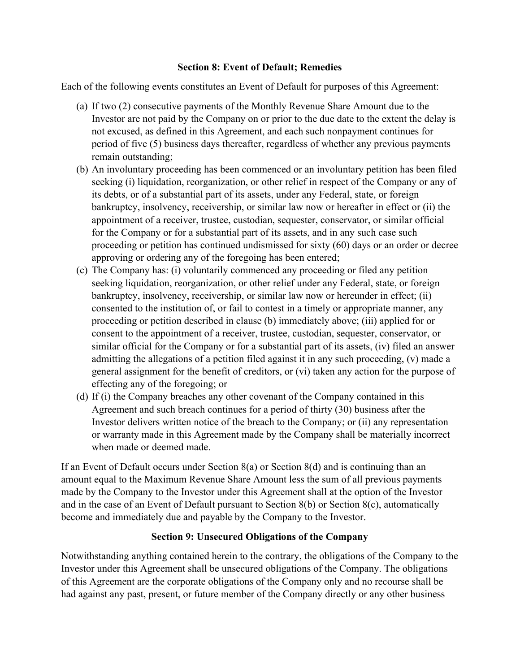## **Section 8: Event of Default; Remedies**

Each of the following events constitutes an Event of Default for purposes of this Agreement:

- (a) If two (2) consecutive payments of the Monthly Revenue Share Amount due to the Investor are not paid by the Company on or prior to the due date to the extent the delay is not excused, as defined in this Agreement, and each such nonpayment continues for period of five (5) business days thereafter, regardless of whether any previous payments remain outstanding;
- (b) An involuntary proceeding has been commenced or an involuntary petition has been filed seeking (i) liquidation, reorganization, or other relief in respect of the Company or any of its debts, or of a substantial part of its assets, under any Federal, state, or foreign bankruptcy, insolvency, receivership, or similar law now or hereafter in effect or (ii) the appointment of a receiver, trustee, custodian, sequester, conservator, or similar official for the Company or for a substantial part of its assets, and in any such case such proceeding or petition has continued undismissed for sixty (60) days or an order or decree approving or ordering any of the foregoing has been entered;
- (c) The Company has: (i) voluntarily commenced any proceeding or filed any petition seeking liquidation, reorganization, or other relief under any Federal, state, or foreign bankruptcy, insolvency, receivership, or similar law now or hereunder in effect; (ii) consented to the institution of, or fail to contest in a timely or appropriate manner, any proceeding or petition described in clause (b) immediately above; (iii) applied for or consent to the appointment of a receiver, trustee, custodian, sequester, conservator, or similar official for the Company or for a substantial part of its assets, (iv) filed an answer admitting the allegations of a petition filed against it in any such proceeding, (v) made a general assignment for the benefit of creditors, or (vi) taken any action for the purpose of effecting any of the foregoing; or
- (d) If (i) the Company breaches any other covenant of the Company contained in this Agreement and such breach continues for a period of thirty (30) business after the Investor delivers written notice of the breach to the Company; or (ii) any representation or warranty made in this Agreement made by the Company shall be materially incorrect when made or deemed made.

If an Event of Default occurs under Section 8(a) or Section 8(d) and is continuing than an amount equal to the Maximum Revenue Share Amount less the sum of all previous payments made by the Company to the Investor under this Agreement shall at the option of the Investor and in the case of an Event of Default pursuant to Section 8(b) or Section 8(c), automatically become and immediately due and payable by the Company to the Investor.

# **Section 9: Unsecured Obligations of the Company**

Notwithstanding anything contained herein to the contrary, the obligations of the Company to the Investor under this Agreement shall be unsecured obligations of the Company. The obligations of this Agreement are the corporate obligations of the Company only and no recourse shall be had against any past, present, or future member of the Company directly or any other business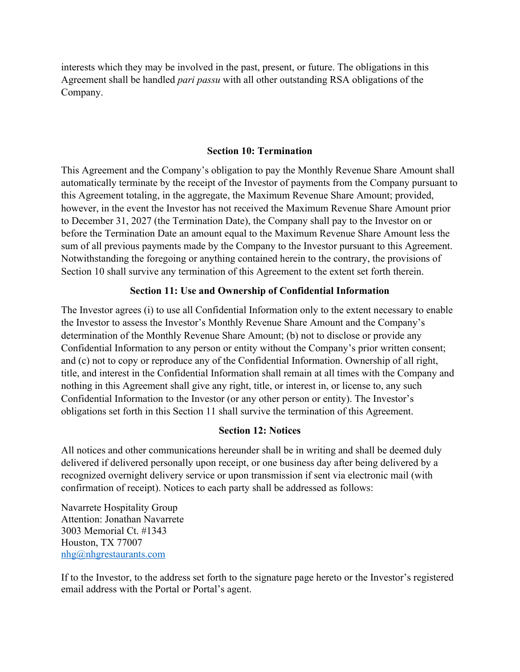interests which they may be involved in the past, present, or future. The obligations in this Agreement shall be handled *pari passu* with all other outstanding RSA obligations of the Company.

#### **Section 10: Termination**

This Agreement and the Company's obligation to pay the Monthly Revenue Share Amount shall automatically terminate by the receipt of the Investor of payments from the Company pursuant to this Agreement totaling, in the aggregate, the Maximum Revenue Share Amount; provided, however, in the event the Investor has not received the Maximum Revenue Share Amount prior to December 31, 2027 (the Termination Date), the Company shall pay to the Investor on or before the Termination Date an amount equal to the Maximum Revenue Share Amount less the sum of all previous payments made by the Company to the Investor pursuant to this Agreement. Notwithstanding the foregoing or anything contained herein to the contrary, the provisions of Section 10 shall survive any termination of this Agreement to the extent set forth therein.

## **Section 11: Use and Ownership of Confidential Information**

The Investor agrees (i) to use all Confidential Information only to the extent necessary to enable the Investor to assess the Investor's Monthly Revenue Share Amount and the Company's determination of the Monthly Revenue Share Amount; (b) not to disclose or provide any Confidential Information to any person or entity without the Company's prior written consent; and (c) not to copy or reproduce any of the Confidential Information. Ownership of all right, title, and interest in the Confidential Information shall remain at all times with the Company and nothing in this Agreement shall give any right, title, or interest in, or license to, any such Confidential Information to the Investor (or any other person or entity). The Investor's obligations set forth in this Section 11 shall survive the termination of this Agreement.

## **Section 12: Notices**

All notices and other communications hereunder shall be in writing and shall be deemed duly delivered if delivered personally upon receipt, or one business day after being delivered by a recognized overnight delivery service or upon transmission if sent via electronic mail (with confirmation of receipt). Notices to each party shall be addressed as follows:

Navarrete Hospitality Group Attention: Jonathan Navarrete 3003 Memorial Ct. #1343 Houston, TX 77007 [nhg@nhgrestaurants.com](mailto:nhg@nhgrestaurants.com)

If to the Investor, to the address set forth to the signature page hereto or the Investor's registered email address with the Portal or Portal's agent.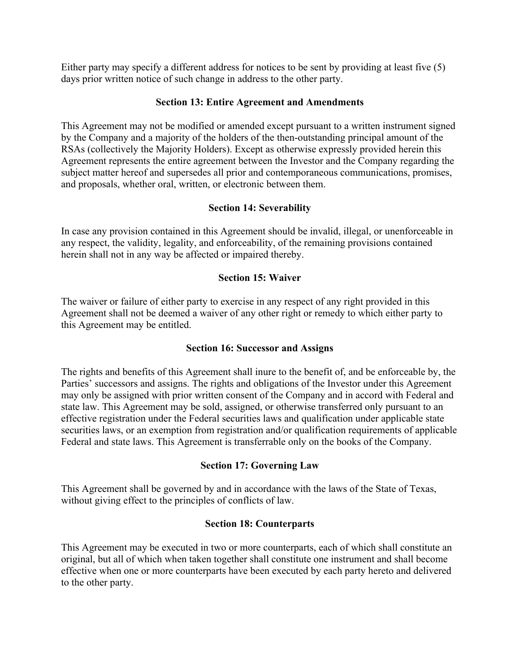Either party may specify a different address for notices to be sent by providing at least five (5) days prior written notice of such change in address to the other party.

#### **Section 13: Entire Agreement and Amendments**

This Agreement may not be modified or amended except pursuant to a written instrument signed by the Company and a majority of the holders of the then-outstanding principal amount of the RSAs (collectively the Majority Holders). Except as otherwise expressly provided herein this Agreement represents the entire agreement between the Investor and the Company regarding the subject matter hereof and supersedes all prior and contemporaneous communications, promises, and proposals, whether oral, written, or electronic between them.

## **Section 14: Severability**

In case any provision contained in this Agreement should be invalid, illegal, or unenforceable in any respect, the validity, legality, and enforceability, of the remaining provisions contained herein shall not in any way be affected or impaired thereby.

## **Section 15: Waiver**

The waiver or failure of either party to exercise in any respect of any right provided in this Agreement shall not be deemed a waiver of any other right or remedy to which either party to this Agreement may be entitled.

#### **Section 16: Successor and Assigns**

The rights and benefits of this Agreement shall inure to the benefit of, and be enforceable by, the Parties' successors and assigns. The rights and obligations of the Investor under this Agreement may only be assigned with prior written consent of the Company and in accord with Federal and state law. This Agreement may be sold, assigned, or otherwise transferred only pursuant to an effective registration under the Federal securities laws and qualification under applicable state securities laws, or an exemption from registration and/or qualification requirements of applicable Federal and state laws. This Agreement is transferrable only on the books of the Company.

## **Section 17: Governing Law**

This Agreement shall be governed by and in accordance with the laws of the State of Texas, without giving effect to the principles of conflicts of law.

## **Section 18: Counterparts**

This Agreement may be executed in two or more counterparts, each of which shall constitute an original, but all of which when taken together shall constitute one instrument and shall become effective when one or more counterparts have been executed by each party hereto and delivered to the other party.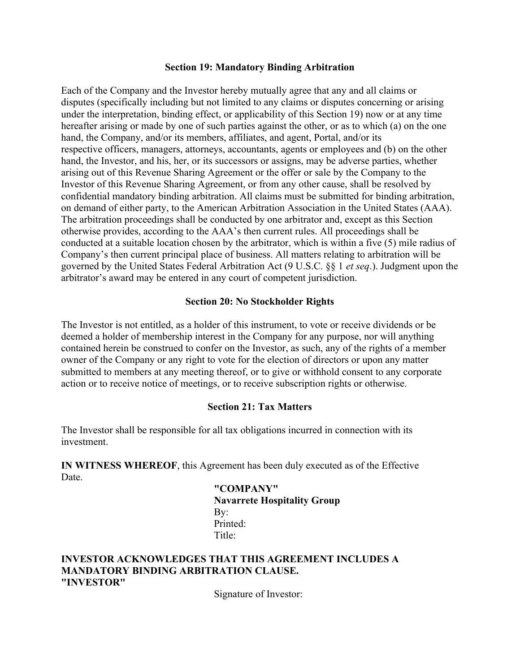#### **Section 19: Mandatory Binding Arbitration**

Each of the Company and the Investor hereby mutually agree that any and all claims or disputes (specifically including but not limited to any claims or disputes concerning or arising under the interpretation, binding effect, or applicability of this Section 19) now or at any time hereafter arising or made by one of such parties against the other, or as to which (a) on the one hand, the Company, and/or its members, affiliates, and agent, Portal, and/or its respective officers, managers, attorneys, accountants, agents or employees and (b) on the other hand, the Investor, and his, her, or its successors or assigns, may be adverse parties, whether arising out of this Revenue Sharing Agreement or the offer or sale by the Company to the Investor of this Revenue Sharing Agreement, or from any other cause, shall be resolved by confidential mandatory binding arbitration. All claims must be submitted for binding arbitration, on demand of either party, to the American Arbitration Association in the United States (AAA). The arbitration proceedings shall be conducted by one arbitrator and, except as this Section otherwise provides, according to the AAA's then current rules. All proceedings shall be conducted at a suitable location chosen by the arbitrator, which is within a five (5) mile radius of Company's then current principal place of business. All matters relating to arbitration will be governed by the United States Federal Arbitration Act (9 U.S.C. §§ 1 *et seq*.). Judgment upon the arbitrator's award may be entered in any court of competent jurisdiction.

#### **Section 20: No Stockholder Rights**

The Investor is not entitled, as a holder of this instrument, to vote or receive dividends or be deemed a holder of membership interest in the Company for any purpose, nor will anything contained herein be construed to confer on the Investor, as such, any of the rights of a member owner of the Company or any right to vote for the election of directors or upon any matter submitted to members at any meeting thereof, or to give or withhold consent to any corporate action or to receive notice of meetings, or to receive subscription rights or otherwise.

#### **Section 21: Tax Matters**

The Investor shall be responsible for all tax obligations incurred in connection with its investment.

**IN WITNESS WHEREOF**, this Agreement has been duly executed as of the Effective Date.

> **"COMPANY" Navarrete Hospitality Group** By: Printed: Title<sup>.</sup>

#### **INVESTOR ACKNOWLEDGES THAT THIS AGREEMENT INCLUDES A MANDATORY BINDING ARBITRATION CLAUSE. "INVESTOR"**

Signature of Investor: